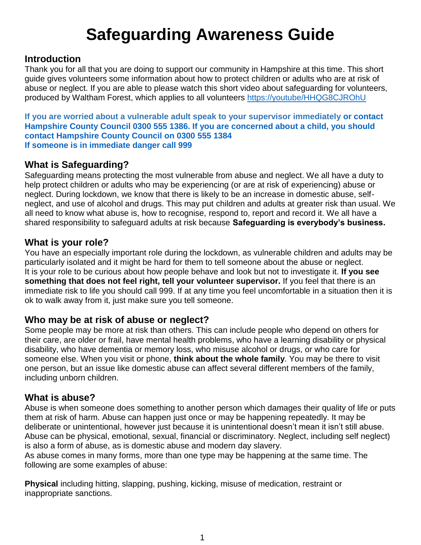# **Safeguarding Awareness Guide**

#### **Introduction**

Thank you for all that you are doing to support our community in Hampshire at this time. This short guide gives volunteers some information about how to protect children or adults who are at risk of abuse or neglect. If you are able to please watch this short video about safeguarding for volunteers, produced by Waltham Forest, which applies to all volunteers <https://youtube/HHQG8CJROhU>

**If you are worried about a vulnerable adult speak to your supervisor immediately or contact Hampshire County Council 0300 555 1386. If you are concerned about a child, you should contact Hampshire County Council on 0300 555 1384 If someone is in immediate danger call 999**

#### **What is Safeguarding?**

Safeguarding means protecting the most vulnerable from abuse and neglect. We all have a duty to help protect children or adults who may be experiencing (or are at risk of experiencing) abuse or neglect. During lockdown, we know that there is likely to be an increase in domestic abuse, selfneglect, and use of alcohol and drugs. This may put children and adults at greater risk than usual. We all need to know what abuse is, how to recognise, respond to, report and record it. We all have a shared responsibility to safeguard adults at risk because **Safeguarding is everybody's business.**

#### **What is your role?**

You have an especially important role during the lockdown, as vulnerable children and adults may be particularly isolated and it might be hard for them to tell someone about the abuse or neglect. It is your role to be curious about how people behave and look but not to investigate it. **If you see something that does not feel right, tell your volunteer supervisor.** If you feel that there is an immediate risk to life you should call 999. If at any time you feel uncomfortable in a situation then it is ok to walk away from it, just make sure you tell someone.

#### **Who may be at risk of abuse or neglect?**

Some people may be more at risk than others. This can include people who depend on others for their care, are older or frail, have mental health problems, who have a learning disability or physical disability, who have dementia or memory loss, who misuse alcohol or drugs, or who care for someone else. When you visit or phone, **think about the whole family**. You may be there to visit one person, but an issue like domestic abuse can affect several different members of the family, including unborn children.

#### **What is abuse?**

Abuse is when someone does something to another person which damages their quality of life or puts them at risk of harm. Abuse can happen just once or may be happening repeatedly. It may be deliberate or unintentional, however just because it is unintentional doesn't mean it isn't still abuse. Abuse can be physical, emotional, sexual, financial or discriminatory. Neglect, including self neglect) is also a form of abuse, as is domestic abuse and modern day slavery.

As abuse comes in many forms, more than one type may be happening at the same time. The following are some examples of abuse:

**Physical** including hitting, slapping, pushing, kicking, misuse of medication, restraint or inappropriate sanctions.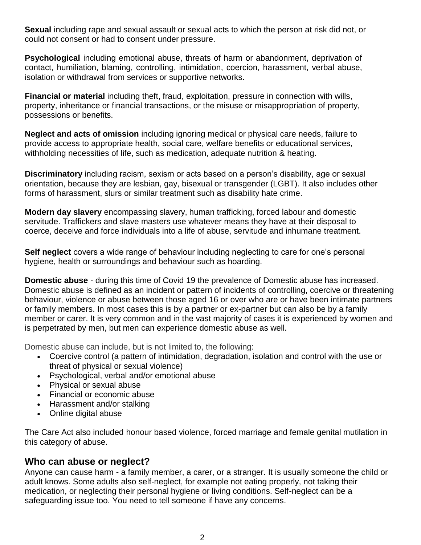**Sexual** including rape and sexual assault or sexual acts to which the person at risk did not, or could not consent or had to consent under pressure.

**Psychological** including emotional abuse, threats of harm or abandonment, deprivation of contact, humiliation, blaming, controlling, intimidation, coercion, harassment, verbal abuse, isolation or withdrawal from services or supportive networks.

**Financial or material** including theft, fraud, exploitation, pressure in connection with wills, property, inheritance or financial transactions, or the misuse or misappropriation of property, possessions or benefits.

**Neglect and acts of omission** including ignoring medical or physical care needs, failure to provide access to appropriate health, social care, welfare benefits or educational services, withholding necessities of life, such as medication, adequate nutrition & heating.

**Discriminatory** including racism, sexism or acts based on a person's disability, age or sexual orientation, because they are lesbian, gay, bisexual or transgender (LGBT). It also includes other forms of harassment, slurs or similar treatment such as disability hate crime.

**Modern day slavery** encompassing slavery, human trafficking, forced labour and domestic servitude. Traffickers and slave masters use whatever means they have at their disposal to coerce, deceive and force individuals into a life of abuse, servitude and inhumane treatment.

**Self neglect** covers a wide range of behaviour including neglecting to care for one's personal hygiene, health or surroundings and behaviour such as hoarding.

**Domestic abuse** - during this time of Covid 19 the prevalence of Domestic abuse has increased. Domestic abuse is defined as an incident or pattern of incidents of controlling, coercive or threatening behaviour, violence or abuse between those aged 16 or over who are or have been intimate partners or family members. In most cases this is by a partner or ex-partner but can also be by a family member or carer. It is very common and in the vast majority of cases it is experienced by women and is perpetrated by men, but men can experience domestic abuse as well.

Domestic abuse can include, but is not limited to, the following:

- Coercive control (a pattern of intimidation, degradation, isolation and control with the use or threat of physical or sexual violence)
- Psychological, verbal and/or emotional abuse
- Physical or sexual abuse
- Financial or economic abuse
- Harassment and/or stalking
- Online digital abuse

The Care Act also included honour based violence, forced marriage and female genital mutilation in this category of abuse.

#### **Who can abuse or neglect?**

Anyone can cause harm - a family member, a carer, or a stranger. It is usually someone the child or adult knows. Some adults also self-neglect, for example not eating properly, not taking their medication, or neglecting their personal hygiene or living conditions. Self-neglect can be a safeguarding issue too. You need to tell someone if have any concerns.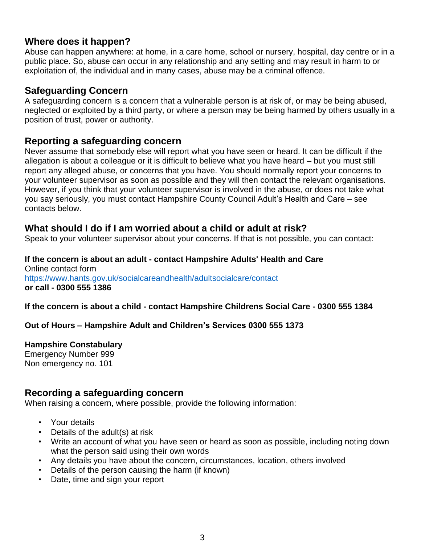#### **Where does it happen?**

Abuse can happen anywhere: at home, in a care home, school or nursery, hospital, day centre or in a public place. So, abuse can occur in any relationship and any setting and may result in harm to or exploitation of, the individual and in many cases, abuse may be a criminal offence.

#### **Safeguarding Concern**

A safeguarding concern is a concern that a vulnerable person is at risk of, or may be being abused, neglected or exploited by a third party, or where a person may be being harmed by others usually in a position of trust, power or authority.

#### **Reporting a safeguarding concern**

Never assume that somebody else will report what you have seen or heard. It can be difficult if the allegation is about a colleague or it is difficult to believe what you have heard – but you must still report any alleged abuse, or concerns that you have. You should normally report your concerns to your volunteer supervisor as soon as possible and they will then contact the relevant organisations. However, if you think that your volunteer supervisor is involved in the abuse, or does not take what you say seriously, you must contact Hampshire County Council Adult's Health and Care – see contacts below.

#### **What should I do if I am worried about a child or adult at risk?**

Speak to your volunteer supervisor about your concerns. If that is not possible, you can contact:

#### **If the concern is about an adult - contact Hampshire Adults' Health and Care** Online contact form <https://www.hants.gov.uk/socialcareandhealth/adultsocialcare/contact> **or call - 0300 555 1386**

**If the concern is about a child - contact Hampshire Childrens Social Care - 0300 555 1384**

#### **Out of Hours – Hampshire Adult and Children's Services 0300 555 1373**

#### **Hampshire Constabulary**

Emergency Number 999 Non emergency no. 101

#### **Recording a safeguarding concern**

When raising a concern, where possible, provide the following information:

- Your details
- Details of the adult(s) at risk
- Write an account of what you have seen or heard as soon as possible, including noting down what the person said using their own words
- Any details you have about the concern, circumstances, location, others involved
- Details of the person causing the harm (if known)
- Date, time and sign your report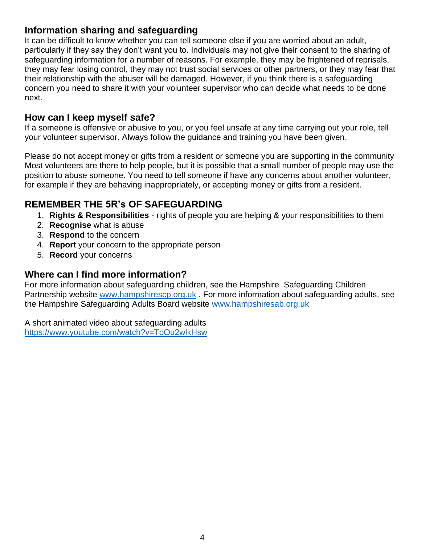#### **Information sharing and safeguarding**

It can be difficult to know whether you can tell someone else if you are worried about an adult, particularly if they say they don't want you to. Individuals may not give their consent to the sharing of safeguarding information for a number of reasons. For example, they may be frightened of reprisals, they may fear losing control, they may not trust social services or other partners, or they may fear that their relationship with the abuser will be damaged. However, if you think there is a safeguarding concern you need to share it with your volunteer supervisor who can decide what needs to be done next.

#### **How can I keep myself safe?**

If a someone is offensive or abusive to you, or you feel unsafe at any time carrying out your role, tell your volunteer supervisor. Always follow the guidance and training you have been given.

Please do not accept money or gifts from a resident or someone you are supporting in the community Most volunteers are there to help people, but it is possible that a small number of people may use the position to abuse someone. You need to tell someone if have any concerns about another volunteer, for example if they are behaving inappropriately, or accepting money or gifts from a resident.

### **REMEMBER THE 5R's OF SAFEGUARDING**

- 1. **Rights & Responsibilities** rights of people you are helping & your responsibilities to them
- 2. **Recognise** what is abuse
- 3. **Respond** to the concern
- 4. **Report** your concern to the appropriate person
- 5. **Record** your concerns

#### **Where can I find more information?**

For more information about safeguarding children, see the Hampshire Safeguarding Children Partnership website [www.hampshirescp.org.uk](http://www.hampshirescp.org.uk/) . For more information about safeguarding adults, see the Hampshire Safeguarding Adults Board website [www.hampshiresab.org.uk](http://www.hampshiresab.org.uk/)

A short animated video about safeguarding adults <https://www.youtube.com/watch?v=ToOu2wlkHsw>